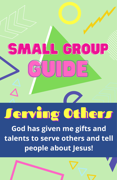# SMALL GROUP  $\bigcap_{i=1}^n$ <u>sta illi</u>

## Jerving Others

God has given me gifts and talents to serve others and tell people about Jesus!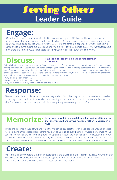### **Leader Guide** Serving Others

#### **Engage:**

On index cards, write some words for the kids to draw for a game of Pictionary. The words should be different ways that people can serve others in the church. (Examples: watching kids, cleaning up, shoveling snow, teaching, singing songs, welcoming others, etc.) Put the cards in a paper bag. Have the kids sit in a circle and take turns pulling out a card and drawing a picture for the others to guess. Afterwards, talk about how there are so many ways that people can serve God both in the church and community.

#### **Discuss:** ...

#### **Have the kids open their Bibles and read together 1 Corinthians 12**

Take a ballpoint pen and remove the spring. Ask the kids what part of the pen would be the most important. When the kids are talking, have them try to use the pen. Show them the spring and talk about how this little piece that may not seem important is one of many things that makes the pen work. Talk to the kids about how each and every person is important, no matter how small. God has given each person a specific role to help build the Body of Christ, from those who clean the church, those who work with babies, and those who are out on stage. Each person is important!

- Why is every person important?
- Is one person more important than another?
- Why do we need to work together and encourage one another?

#### ... **Response:**

Give each kid a blank puzzle piece. Have them pray and ask God what they can do to serve others. It may be something in the church, but it could also be something in the home or community. Have the kids write down what God says to them and then put their piece in a gift bag as a way of giving it to God.

#### **Memorize:** In the same way, let your good deeds shine out for all to see, so that everyone will praise your heavenly Father. (Matthew 5:16, **that everyone will praise your heavenly Father. (Matthew 5:16, NLT)**

Divide the kids into groups of two and wrap their touching legs together with crepe paper/bandana. The kids will be playing a three legged race. Before you start as a group go over the memory verse a few times. At the starting line have all the kids in their groups line up and talk about the importance of working together. When the kids reach the finish line have the memory verse written and mixed up on paper plates. The kids will have to cross the finish line and put the verse together. The team to put the verse together and shout it wins!

#### **Create:**

... supplies available and let the kids make encouragement cards for that individual or team. Gather all the cards Write out a list of volunteers, either in a department at the church or in the kids ministry. Have a bunch of craft and send them out this week to encourage those serving in the church.